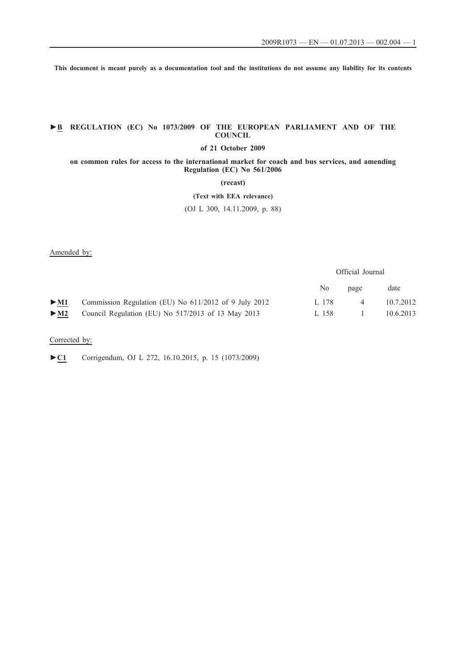**This document is meant purely as a documentation tool and the institutions do not assume any liability for its contents**

## **►B REGULATION (EC) No 1073/2009 OF THE EUROPEAN PARLIAMENT AND OF THE COUNCIL**

## **of 21 October 2009**

## **on common rules for access to the international market for coach and bus services, and amending Regulation (EC) No 561/2006**

**(recast)**

**(Text with EEA relevance)**

(OJ L 300, 14.11.2009, p. 88)

### Amended by:

Official Journal

|                          |                                                                           | N0.   | page     | date      |
|--------------------------|---------------------------------------------------------------------------|-------|----------|-----------|
|                          | $\triangleright$ M1 Commission Regulation (EU) No 611/2012 of 9 July 2012 | L 178 | $\Delta$ | 10.7.2012 |
| $\blacktriangleright$ M2 | Council Regulation (EU) No 517/2013 of 13 May 2013                        | L 158 |          | 10.6.2013 |

## Corrected by:

►**C1** Corrigendum, OJ L 272, 16.10.2015, p. 15 (1073/2009)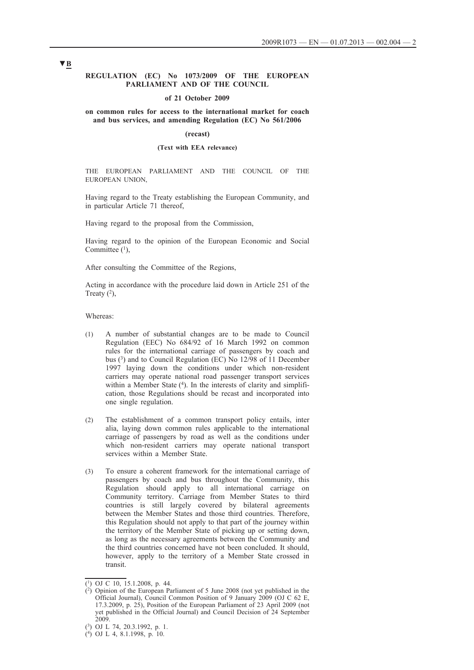### **REGULATION (EC) No 1073/2009 OF THE EUROPEAN PARLIAMENT AND OF THE COUNCIL**

#### **of 21 October 2009**

## **on common rules for access to the international market for coach and bus services, and amending Regulation (EC) No 561/2006**

#### **(recast)**

#### **(Text with EEA relevance)**

THE EUROPEAN PARLIAMENT AND THE COUNCIL OF THE EUROPEAN UNION,

Having regard to the Treaty establishing the European Community, and in particular Article 71 thereof,

Having regard to the proposal from the Commission,

Having regard to the opinion of the European Economic and Social Committee  $(1)$ ,

After consulting the Committee of the Regions,

Acting in accordance with the procedure laid down in Article 251 of the Treaty  $(2)$ ,

Whereas:

- (1) A number of substantial changes are to be made to Council Regulation (EEC) No 684/92 of 16 March 1992 on common rules for the international carriage of passengers by coach and bus (3) and to Council Regulation (EC) No 12/98 of 11 December 1997 laying down the conditions under which non-resident carriers may operate national road passenger transport services within a Member State  $(4)$ . In the interests of clarity and simplification, those Regulations should be recast and incorporated into one single regulation.
- (2) The establishment of a common transport policy entails, inter alia, laying down common rules applicable to the international carriage of passengers by road as well as the conditions under which non-resident carriers may operate national transport services within a Member State.
- (3) To ensure a coherent framework for the international carriage of passengers by coach and bus throughout the Community, this Regulation should apply to all international carriage on Community territory. Carriage from Member States to third countries is still largely covered by bilateral agreements between the Member States and those third countries. Therefore, this Regulation should not apply to that part of the journey within the territory of the Member State of picking up or setting down, as long as the necessary agreements between the Community and the third countries concerned have not been concluded. It should, however, apply to the territory of a Member State crossed in transit.

<sup>(1)</sup> OJ C 10, 15.1.2008, p. 44.

<sup>(2)</sup> Opinion of the European Parliament of 5 June 2008 (not yet published in the Official Journal), Council Common Position of 9 January 2009 (OJ C 62 E, 17.3.2009, p. 25), Position of the European Parliament of 23 April 2009 (not yet published in the Official Journal) and Council Decision of 24 September 2009.

<sup>(3)</sup> OJ L 74, 20.3.1992, p. 1.

<sup>(4)</sup> OJ L 4, 8.1.1998, p. 10.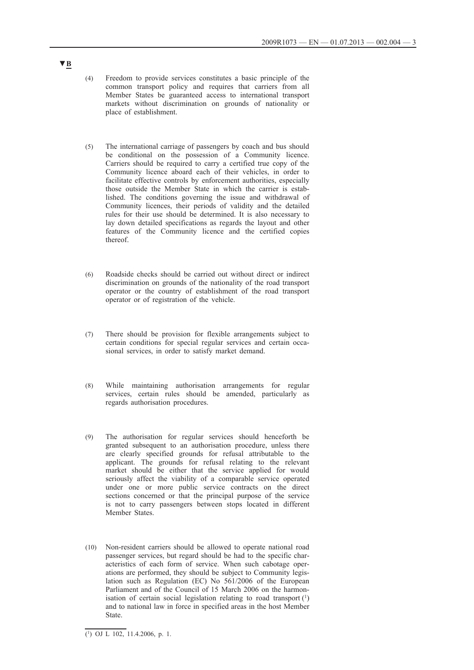- (4) Freedom to provide services constitutes a basic principle of the common transport policy and requires that carriers from all Member States be guaranteed access to international transport markets without discrimination on grounds of nationality or place of establishment.
- (5) The international carriage of passengers by coach and bus should be conditional on the possession of a Community licence. Carriers should be required to carry a certified true copy of the Community licence aboard each of their vehicles, in order to facilitate effective controls by enforcement authorities, especially those outside the Member State in which the carrier is established. The conditions governing the issue and withdrawal of Community licences, their periods of validity and the detailed rules for their use should be determined. It is also necessary to lay down detailed specifications as regards the layout and other features of the Community licence and the certified copies thereof.
- (6) Roadside checks should be carried out without direct or indirect discrimination on grounds of the nationality of the road transport operator or the country of establishment of the road transport operator or of registration of the vehicle.
- (7) There should be provision for flexible arrangements subject to certain conditions for special regular services and certain occasional services, in order to satisfy market demand.
- (8) While maintaining authorisation arrangements for regular services, certain rules should be amended, particularly as regards authorisation procedures.
- (9) The authorisation for regular services should henceforth be granted subsequent to an authorisation procedure, unless there are clearly specified grounds for refusal attributable to the applicant. The grounds for refusal relating to the relevant market should be either that the service applied for would seriously affect the viability of a comparable service operated under one or more public service contracts on the direct sections concerned or that the principal purpose of the service is not to carry passengers between stops located in different Member States.
- (10) Non-resident carriers should be allowed to operate national road passenger services, but regard should be had to the specific characteristics of each form of service. When such cabotage operations are performed, they should be subject to Community legislation such as Regulation (EC) No 561/2006 of the European Parliament and of the Council of 15 March 2006 on the harmonisation of certain social legislation relating to road transport  $(1)$ and to national law in force in specified areas in the host Member State.

**<sup>▼</sup>B**

 $\overline{(^1)}$  OJ L 102, 11.4.2006, p. 1.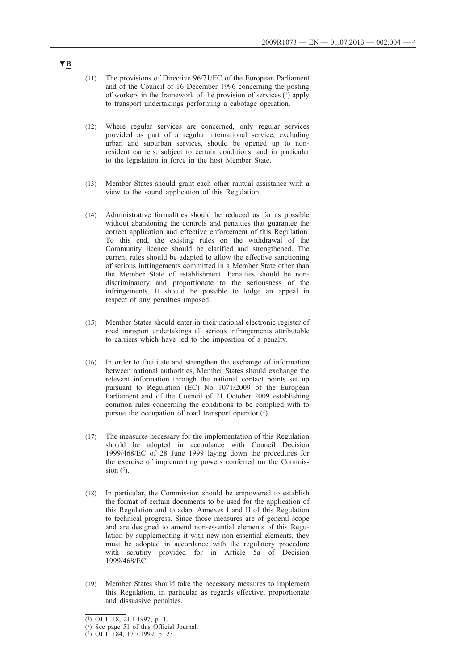- (11) The provisions of Directive 96/71/EC of the European Parliament and of the Council of 16 December 1996 concerning the posting of workers in the framework of the provision of services  $(1)$  apply to transport undertakings performing a cabotage operation.
- (12) Where regular services are concerned, only regular services provided as part of a regular international service, excluding urban and suburban services, should be opened up to nonresident carriers, subject to certain conditions, and in particular to the legislation in force in the host Member State.
- (13) Member States should grant each other mutual assistance with a view to the sound application of this Regulation.
- (14) Administrative formalities should be reduced as far as possible without abandoning the controls and penalties that guarantee the correct application and effective enforcement of this Regulation. To this end, the existing rules on the withdrawal of the Community licence should be clarified and strengthened. The current rules should be adapted to allow the effective sanctioning of serious infringements committed in a Member State other than the Member State of establishment. Penalties should be nondiscriminatory and proportionate to the seriousness of the infringements. It should be possible to lodge an appeal in respect of any penalties imposed.
- (15) Member States should enter in their national electronic register of road transport undertakings all serious infringements attributable to carriers which have led to the imposition of a penalty.
- (16) In order to facilitate and strengthen the exchange of information between national authorities, Member States should exchange the relevant information through the national contact points set up pursuant to Regulation (EC) No 1071/2009 of the European Parliament and of the Council of 21 October 2009 establishing common rules concerning the conditions to be complied with to pursue the occupation of road transport operator  $(2)$ .
- (17) The measures necessary for the implementation of this Regulation should be adopted in accordance with Council Decision 1999/468/EC of 28 June 1999 laying down the procedures for the exercise of implementing powers conferred on the Commission  $(3)$ .
- (18) In particular, the Commission should be empowered to establish the format of certain documents to be used for the application of this Regulation and to adapt Annexes I and II of this Regulation to technical progress. Since those measures are of general scope and are designed to amend non-essential elements of this Regulation by supplementing it with new non-essential elements, they must be adopted in accordance with the regulatory procedure with scrutiny provided for in Article 5a of Decision 1999/468/EC.
- (19) Member States should take the necessary measures to implement this Regulation, in particular as regards effective, proportionate and dissuasive penalties.

<sup>(1)</sup> OJ L 18, 21.1.1997, p. 1.

<sup>(2)</sup> See page 51 of this Official Journal.

<sup>(3)</sup> OJ L 184, 17.7.1999, p. 23.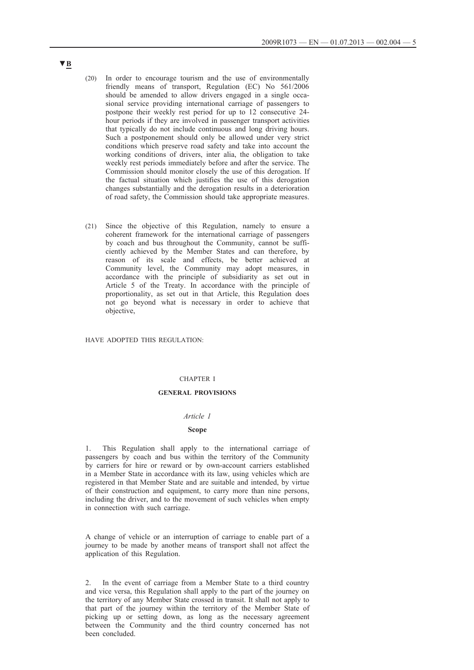- (20) In order to encourage tourism and the use of environmentally friendly means of transport, Regulation (EC) No 561/2006 should be amended to allow drivers engaged in a single occasional service providing international carriage of passengers to postpone their weekly rest period for up to 12 consecutive 24 hour periods if they are involved in passenger transport activities that typically do not include continuous and long driving hours. Such a postponement should only be allowed under very strict conditions which preserve road safety and take into account the working conditions of drivers, inter alia, the obligation to take weekly rest periods immediately before and after the service. The Commission should monitor closely the use of this derogation. If the factual situation which justifies the use of this derogation changes substantially and the derogation results in a deterioration of road safety, the Commission should take appropriate measures.
- (21) Since the objective of this Regulation, namely to ensure a coherent framework for the international carriage of passengers by coach and bus throughout the Community, cannot be sufficiently achieved by the Member States and can therefore, by reason of its scale and effects, be better achieved at Community level, the Community may adopt measures, in accordance with the principle of subsidiarity as set out in Article 5 of the Treaty. In accordance with the principle of proportionality, as set out in that Article, this Regulation does not go beyond what is necessary in order to achieve that objective,

HAVE ADOPTED THIS REGULATION:

### CHAPTER I

## **GENERAL PROVISIONS**

## *Article 1*

## **Scope**

This Regulation shall apply to the international carriage of passengers by coach and bus within the territory of the Community by carriers for hire or reward or by own-account carriers established in a Member State in accordance with its law, using vehicles which are registered in that Member State and are suitable and intended, by virtue of their construction and equipment, to carry more than nine persons, including the driver, and to the movement of such vehicles when empty in connection with such carriage.

A change of vehicle or an interruption of carriage to enable part of a journey to be made by another means of transport shall not affect the application of this Regulation.

2. In the event of carriage from a Member State to a third country and vice versa, this Regulation shall apply to the part of the journey on the territory of any Member State crossed in transit. It shall not apply to that part of the journey within the territory of the Member State of picking up or setting down, as long as the necessary agreement between the Community and the third country concerned has not been concluded.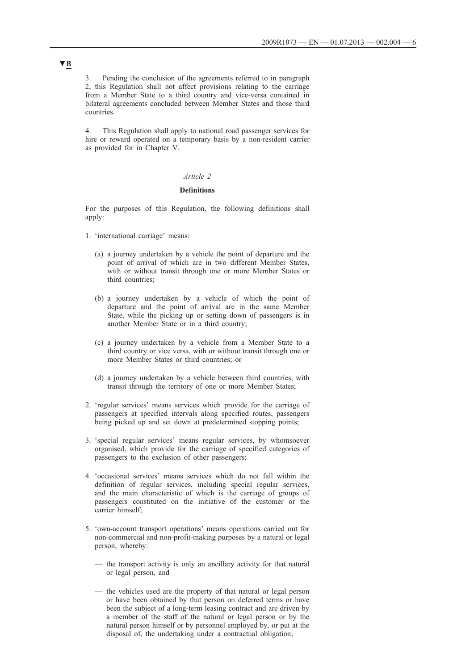3. Pending the conclusion of the agreements referred to in paragraph 2, this Regulation shall not affect provisions relating to the carriage from a Member State to a third country and vice-versa contained in bilateral agreements concluded between Member States and those third countries.

4. This Regulation shall apply to national road passenger services for hire or reward operated on a temporary basis by a non-resident carrier as provided for in Chapter V.

## *Article 2*

## **Definitions**

For the purposes of this Regulation, the following definitions shall apply:

- 1. 'international carriage' means:
	- (a) a journey undertaken by a vehicle the point of departure and the point of arrival of which are in two different Member States, with or without transit through one or more Member States or third countries;
	- (b) a journey undertaken by a vehicle of which the point of departure and the point of arrival are in the same Member State, while the picking up or setting down of passengers is in another Member State or in a third country;
	- (c) a journey undertaken by a vehicle from a Member State to a third country or vice versa, with or without transit through one or more Member States or third countries; or
	- (d) a journey undertaken by a vehicle between third countries, with transit through the territory of one or more Member States;
- 2. 'regular services' means services which provide for the carriage of passengers at specified intervals along specified routes, passengers being picked up and set down at predetermined stopping points;
- 3. 'special regular services' means regular services, by whomsoever organised, which provide for the carriage of specified categories of passengers to the exclusion of other passengers;
- 4. 'occasional services' means services which do not fall within the definition of regular services, including special regular services, and the main characteristic of which is the carriage of groups of passengers constituted on the initiative of the customer or the carrier himself;
- 5. 'own-account transport operations' means operations carried out for non-commercial and non-profit-making purposes by a natural or legal person, whereby:
	- the transport activity is only an ancillary activity for that natural or legal person, and
	- the vehicles used are the property of that natural or legal person or have been obtained by that person on deferred terms or have been the subject of a long-term leasing contract and are driven by a member of the staff of the natural or legal person or by the natural person himself or by personnel employed by, or put at the disposal of, the undertaking under a contractual obligation;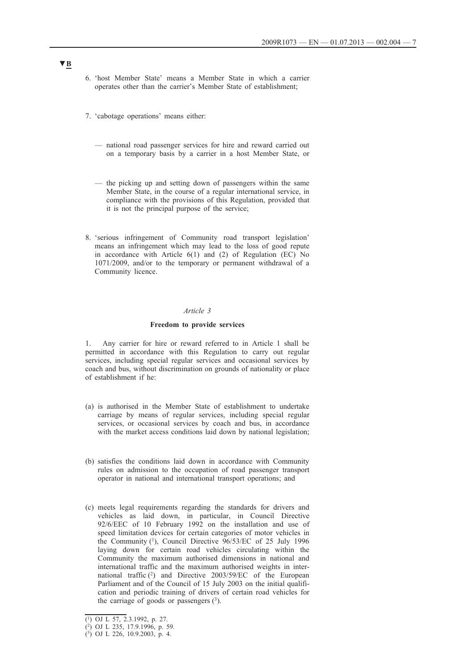- 6. 'host Member State' means a Member State in which a carrier operates other than the carrier's Member State of establishment;
- 7. 'cabotage operations' means either:
	- national road passenger services for hire and reward carried out on a temporary basis by a carrier in a host Member State, or
	- the picking up and setting down of passengers within the same Member State, in the course of a regular international service, in compliance with the provisions of this Regulation, provided that it is not the principal purpose of the service;
- 8. 'serious infringement of Community road transport legislation' means an infringement which may lead to the loss of good repute in accordance with Article  $6(1)$  and (2) of Regulation (EC) No 1071/2009, and/or to the temporary or permanent withdrawal of a Community licence.

## *Article 3*

### **Freedom to provide services**

1. Any carrier for hire or reward referred to in Article 1 shall be permitted in accordance with this Regulation to carry out regular services, including special regular services and occasional services by coach and bus, without discrimination on grounds of nationality or place of establishment if he:

- (a) is authorised in the Member State of establishment to undertake carriage by means of regular services, including special regular services, or occasional services by coach and bus, in accordance with the market access conditions laid down by national legislation;
- (b) satisfies the conditions laid down in accordance with Community rules on admission to the occupation of road passenger transport operator in national and international transport operations; and
- (c) meets legal requirements regarding the standards for drivers and vehicles as laid down, in particular, in Council Directive 92/6/EEC of 10 February 1992 on the installation and use of speed limitation devices for certain categories of motor vehicles in the Community (1), Council Directive  $96/53/EC$  of 25 July 1996 laying down for certain road vehicles circulating within the Community the maximum authorised dimensions in national and international traffic and the maximum authorised weights in international traffic (2) and Directive 2003/59/EC of the European Parliament and of the Council of 15 July 2003 on the initial qualification and periodic training of drivers of certain road vehicles for the carriage of goods or passengers  $(3)$ .

 $\overline{$ (1) OJ L 57, 2.3.1992, p. 27.

<sup>(2)</sup> OJ L 235, 17.9.1996, p. 59.

<sup>(3)</sup> OJ L 226, 10.9.2003, p. 4.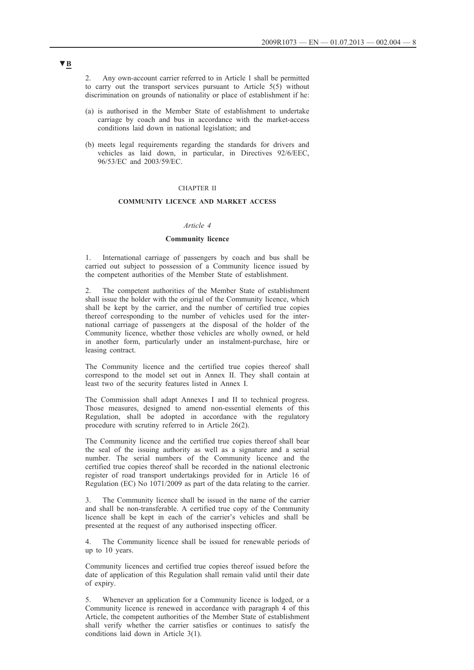2. Any own-account carrier referred to in Article 1 shall be permitted to carry out the transport services pursuant to Article 5(5) without discrimination on grounds of nationality or place of establishment if he:

- (a) is authorised in the Member State of establishment to undertake carriage by coach and bus in accordance with the market-access conditions laid down in national legislation; and
- (b) meets legal requirements regarding the standards for drivers and vehicles as laid down, in particular, in Directives 92/6/EEC, 96/53/EC and 2003/59/EC.

## CHAPTER II

## **COMMUNITY LICENCE AND MARKET ACCESS**

### *Article 4*

## **Community licence**

1. International carriage of passengers by coach and bus shall be carried out subject to possession of a Community licence issued by the competent authorities of the Member State of establishment.

2. The competent authorities of the Member State of establishment shall issue the holder with the original of the Community licence, which shall be kept by the carrier, and the number of certified true copies thereof corresponding to the number of vehicles used for the international carriage of passengers at the disposal of the holder of the Community licence, whether those vehicles are wholly owned, or held in another form, particularly under an instalment-purchase, hire or leasing contract.

The Community licence and the certified true copies thereof shall correspond to the model set out in Annex II. They shall contain at least two of the security features listed in Annex I.

The Commission shall adapt Annexes I and II to technical progress. Those measures, designed to amend non-essential elements of this Regulation, shall be adopted in accordance with the regulatory procedure with scrutiny referred to in Article 26(2).

The Community licence and the certified true copies thereof shall bear the seal of the issuing authority as well as a signature and a serial number. The serial numbers of the Community licence and the certified true copies thereof shall be recorded in the national electronic register of road transport undertakings provided for in Article 16 of Regulation (EC) No 1071/2009 as part of the data relating to the carrier.

3. The Community licence shall be issued in the name of the carrier and shall be non-transferable. A certified true copy of the Community licence shall be kept in each of the carrier's vehicles and shall be presented at the request of any authorised inspecting officer.

4. The Community licence shall be issued for renewable periods of up to 10 years.

Community licences and certified true copies thereof issued before the date of application of this Regulation shall remain valid until their date of expiry.

5. Whenever an application for a Community licence is lodged, or a Community licence is renewed in accordance with paragraph 4 of this Article, the competent authorities of the Member State of establishment shall verify whether the carrier satisfies or continues to satisfy the conditions laid down in Article 3(1).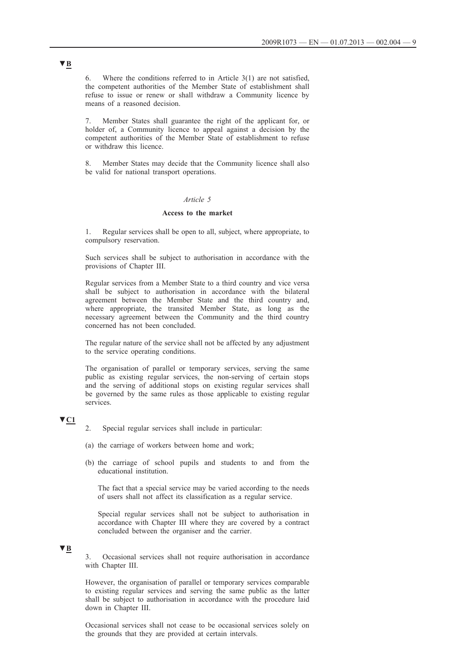6. Where the conditions referred to in Article 3(1) are not satisfied, the competent authorities of the Member State of establishment shall refuse to issue or renew or shall withdraw a Community licence by means of a reasoned decision.

7. Member States shall guarantee the right of the applicant for, or holder of, a Community licence to appeal against a decision by the competent authorities of the Member State of establishment to refuse or withdraw this licence.

8. Member States may decide that the Community licence shall also be valid for national transport operations.

## *Article 5*

## **Access to the market**

1. Regular services shall be open to all, subject, where appropriate, to compulsory reservation.

Such services shall be subject to authorisation in accordance with the provisions of Chapter III.

Regular services from a Member State to a third country and vice versa shall be subject to authorisation in accordance with the bilateral agreement between the Member State and the third country and, where appropriate, the transited Member State, as long as the necessary agreement between the Community and the third country concerned has not been concluded.

The regular nature of the service shall not be affected by any adjustment to the service operating conditions.

The organisation of parallel or temporary services, serving the same public as existing regular services, the non-serving of certain stops and the serving of additional stops on existing regular services shall be governed by the same rules as those applicable to existing regular services.

# **▼C1**

- 2. Special regular services shall include in particular:
- (a) the carriage of workers between home and work;
- (b) the carriage of school pupils and students to and from the educational institution.

The fact that a special service may be varied according to the needs of users shall not affect its classification as a regular service.

Special regular services shall not be subject to authorisation in accordance with Chapter III where they are covered by a contract concluded between the organiser and the carrier.

## **▼B**

3. Occasional services shall not require authorisation in accordance with Chapter III.

However, the organisation of parallel or temporary services comparable to existing regular services and serving the same public as the latter shall be subject to authorisation in accordance with the procedure laid down in Chapter III.

Occasional services shall not cease to be occasional services solely on the grounds that they are provided at certain intervals.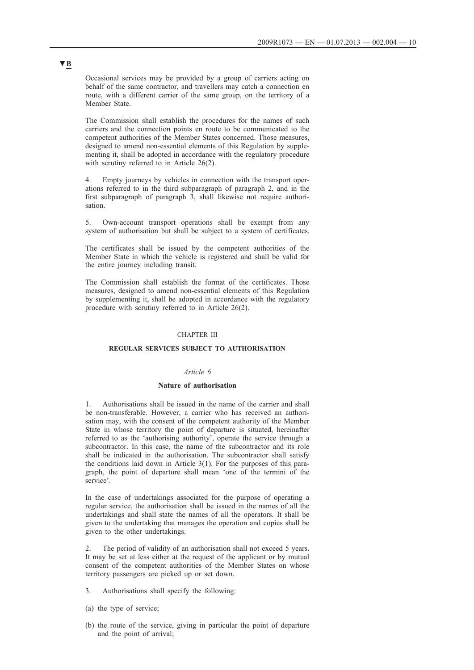Occasional services may be provided by a group of carriers acting on behalf of the same contractor, and travellers may catch a connection en route, with a different carrier of the same group, on the territory of a Member State.

The Commission shall establish the procedures for the names of such carriers and the connection points en route to be communicated to the competent authorities of the Member States concerned. Those measures, designed to amend non-essential elements of this Regulation by supplementing it, shall be adopted in accordance with the regulatory procedure with scrutiny referred to in Article 26(2).

4. Empty journeys by vehicles in connection with the transport operations referred to in the third subparagraph of paragraph 2, and in the first subparagraph of paragraph  $\overline{3}$ , shall likewise not require authorisation.

5. Own-account transport operations shall be exempt from any system of authorisation but shall be subject to a system of certificates.

The certificates shall be issued by the competent authorities of the Member State in which the vehicle is registered and shall be valid for the entire journey including transit.

The Commission shall establish the format of the certificates. Those measures, designed to amend non-essential elements of this Regulation by supplementing it, shall be adopted in accordance with the regulatory procedure with scrutiny referred to in Article 26(2).

## CHAPTER III

### **REGULAR SERVICES SUBJECT TO AUTHORISATION**

## *Article 6*

### **Nature of authorisation**

1. Authorisations shall be issued in the name of the carrier and shall be non-transferable. However, a carrier who has received an authorisation may, with the consent of the competent authority of the Member State in whose territory the point of departure is situated, hereinafter referred to as the 'authorising authority', operate the service through a subcontractor. In this case, the name of the subcontractor and its role shall be indicated in the authorisation. The subcontractor shall satisfy the conditions laid down in Article 3(1). For the purposes of this paragraph, the point of departure shall mean 'one of the termini of the service'.

In the case of undertakings associated for the purpose of operating a regular service, the authorisation shall be issued in the names of all the undertakings and shall state the names of all the operators. It shall be given to the undertaking that manages the operation and copies shall be given to the other undertakings.

The period of validity of an authorisation shall not exceed 5 years. It may be set at less either at the request of the applicant or by mutual consent of the competent authorities of the Member States on whose territory passengers are picked up or set down.

- 3. Authorisations shall specify the following:
- (a) the type of service;
- (b) the route of the service, giving in particular the point of departure and the point of arrival;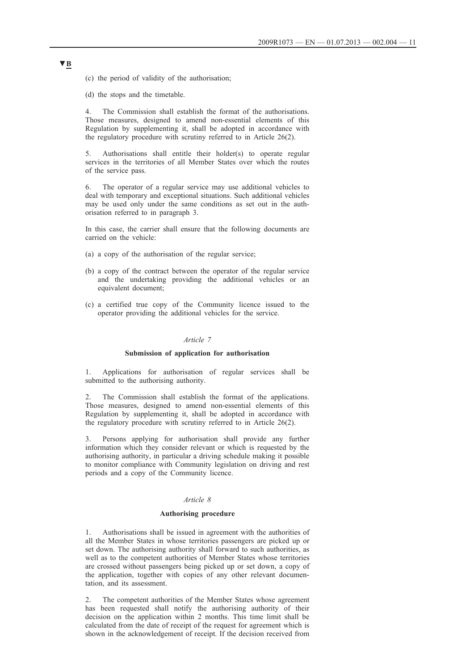(c) the period of validity of the authorisation;

(d) the stops and the timetable.

The Commission shall establish the format of the authorisations. Those measures, designed to amend non-essential elements of this Regulation by supplementing it, shall be adopted in accordance with the regulatory procedure with scrutiny referred to in Article 26(2).

5. Authorisations shall entitle their holder(s) to operate regular services in the territories of all Member States over which the routes of the service pass.

The operator of a regular service may use additional vehicles to deal with temporary and exceptional situations. Such additional vehicles may be used only under the same conditions as set out in the authorisation referred to in paragraph 3.

In this case, the carrier shall ensure that the following documents are carried on the vehicle:

- (a) a copy of the authorisation of the regular service;
- (b) a copy of the contract between the operator of the regular service and the undertaking providing the additional vehicles or an equivalent document;
- (c) a certified true copy of the Community licence issued to the operator providing the additional vehicles for the service.

#### *Article 7*

## **Submission of application for authorisation**

1. Applications for authorisation of regular services shall be submitted to the authorising authority.

The Commission shall establish the format of the applications. Those measures, designed to amend non-essential elements of this Regulation by supplementing it, shall be adopted in accordance with the regulatory procedure with scrutiny referred to in Article 26(2).

3. Persons applying for authorisation shall provide any further information which they consider relevant or which is requested by the authorising authority, in particular a driving schedule making it possible to monitor compliance with Community legislation on driving and rest periods and a copy of the Community licence.

### *Article 8*

#### **Authorising procedure**

1. Authorisations shall be issued in agreement with the authorities of all the Member States in whose territories passengers are picked up or set down. The authorising authority shall forward to such authorities, as well as to the competent authorities of Member States whose territories are crossed without passengers being picked up or set down, a copy of the application, together with copies of any other relevant documentation, and its assessment.

2. The competent authorities of the Member States whose agreement has been requested shall notify the authorising authority of their decision on the application within 2 months. This time limit shall be calculated from the date of receipt of the request for agreement which is shown in the acknowledgement of receipt. If the decision received from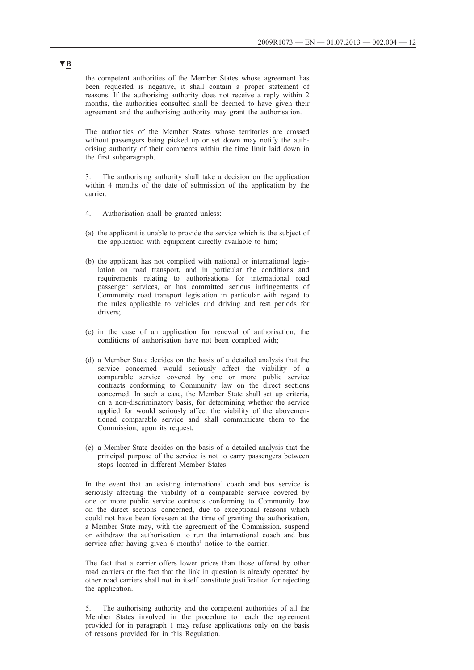the competent authorities of the Member States whose agreement has been requested is negative, it shall contain a proper statement of reasons. If the authorising authority does not receive a reply within 2 months, the authorities consulted shall be deemed to have given their agreement and the authorising authority may grant the authorisation.

The authorities of the Member States whose territories are crossed without passengers being picked up or set down may notify the authorising authority of their comments within the time limit laid down in the first subparagraph.

3. The authorising authority shall take a decision on the application within 4 months of the date of submission of the application by the carrier.

- 4. Authorisation shall be granted unless:
- (a) the applicant is unable to provide the service which is the subject of the application with equipment directly available to him;
- (b) the applicant has not complied with national or international legislation on road transport, and in particular the conditions and requirements relating to authorisations for international road passenger services, or has committed serious infringements of Community road transport legislation in particular with regard to the rules applicable to vehicles and driving and rest periods for drivers<sup>.</sup>
- (c) in the case of an application for renewal of authorisation, the conditions of authorisation have not been complied with;
- (d) a Member State decides on the basis of a detailed analysis that the service concerned would seriously affect the viability of a comparable service covered by one or more public service contracts conforming to Community law on the direct sections concerned. In such a case, the Member State shall set up criteria, on a non-discriminatory basis, for determining whether the service applied for would seriously affect the viability of the abovementioned comparable service and shall communicate them to the Commission, upon its request;
- (e) a Member State decides on the basis of a detailed analysis that the principal purpose of the service is not to carry passengers between stops located in different Member States.

In the event that an existing international coach and bus service is seriously affecting the viability of a comparable service covered by one or more public service contracts conforming to Community law on the direct sections concerned, due to exceptional reasons which could not have been foreseen at the time of granting the authorisation, a Member State may, with the agreement of the Commission, suspend or withdraw the authorisation to run the international coach and bus service after having given 6 months' notice to the carrier.

The fact that a carrier offers lower prices than those offered by other road carriers or the fact that the link in question is already operated by other road carriers shall not in itself constitute justification for rejecting the application.

5. The authorising authority and the competent authorities of all the Member States involved in the procedure to reach the agreement provided for in paragraph 1 may refuse applications only on the basis of reasons provided for in this Regulation.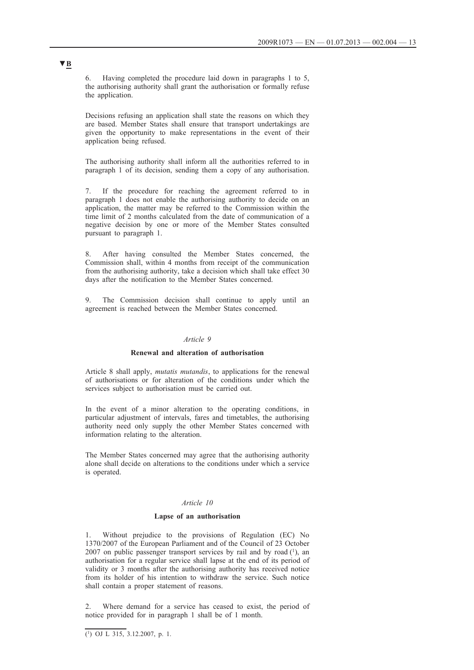6. Having completed the procedure laid down in paragraphs 1 to 5, the authorising authority shall grant the authorisation or formally refuse the application.

Decisions refusing an application shall state the reasons on which they are based. Member States shall ensure that transport undertakings are given the opportunity to make representations in the event of their application being refused.

The authorising authority shall inform all the authorities referred to in paragraph 1 of its decision, sending them a copy of any authorisation.

7. If the procedure for reaching the agreement referred to in paragraph 1 does not enable the authorising authority to decide on an application, the matter may be referred to the Commission within the time limit of 2 months calculated from the date of communication of a negative decision by one or more of the Member States consulted pursuant to paragraph 1.

After having consulted the Member States concerned, the Commission shall, within 4 months from receipt of the communication from the authorising authority, take a decision which shall take effect 30 days after the notification to the Member States concerned.

9. The Commission decision shall continue to apply until an agreement is reached between the Member States concerned.

#### *Article 9*

## **Renewal and alteration of authorisation**

Article 8 shall apply, *mutatis mutandis*, to applications for the renewal of authorisations or for alteration of the conditions under which the services subject to authorisation must be carried out.

In the event of a minor alteration to the operating conditions, in particular adjustment of intervals, fares and timetables, the authorising authority need only supply the other Member States concerned with information relating to the alteration.

The Member States concerned may agree that the authorising authority alone shall decide on alterations to the conditions under which a service is operated.

### *Article 10*

### **Lapse of an authorisation**

Without prejudice to the provisions of Regulation (EC) No 1370/2007 of the European Parliament and of the Council of 23 October 2007 on public passenger transport services by rail and by road (1), an authorisation for a regular service shall lapse at the end of its period of validity or 3 months after the authorising authority has received notice from its holder of his intention to withdraw the service. Such notice shall contain a proper statement of reasons.

2. Where demand for a service has ceased to exist, the period of notice provided for in paragraph 1 shall be of 1 month.

 $\overline{(^1)}$  OJ L 315, 3.12.2007, p. 1.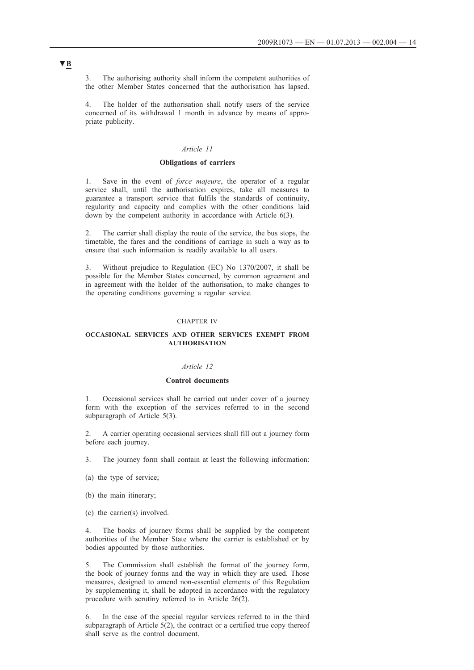3. The authorising authority shall inform the competent authorities of the other Member States concerned that the authorisation has lapsed.

4. The holder of the authorisation shall notify users of the service concerned of its withdrawal 1 month in advance by means of appropriate publicity.

## *Article 11*

### **Obligations of carriers**

1. Save in the event of *force majeure*, the operator of a regular service shall, until the authorisation expires, take all measures to guarantee a transport service that fulfils the standards of continuity, regularity and capacity and complies with the other conditions laid down by the competent authority in accordance with Article 6(3).

2. The carrier shall display the route of the service, the bus stops, the timetable, the fares and the conditions of carriage in such a way as to ensure that such information is readily available to all users.

3. Without prejudice to Regulation (EC) No 1370/2007, it shall be possible for the Member States concerned, by common agreement and in agreement with the holder of the authorisation, to make changes to the operating conditions governing a regular service.

#### CHAPTER IV

## **OCCASIONAL SERVICES AND OTHER SERVICES EXEMPT FROM AUTHORISATION**

#### *Article 12*

#### **Control documents**

1. Occasional services shall be carried out under cover of a journey form with the exception of the services referred to in the second subparagraph of Article 5(3).

2. A carrier operating occasional services shall fill out a journey form before each journey.

- 3. The journey form shall contain at least the following information:
- (a) the type of service;
- (b) the main itinerary;
- (c) the carrier(s) involved.

The books of journey forms shall be supplied by the competent authorities of the Member State where the carrier is established or by bodies appointed by those authorities.

The Commission shall establish the format of the journey form, the book of journey forms and the way in which they are used. Those measures, designed to amend non-essential elements of this Regulation by supplementing it, shall be adopted in accordance with the regulatory procedure with scrutiny referred to in Article 26(2).

6. In the case of the special regular services referred to in the third subparagraph of Article  $5(2)$ , the contract or a certified true copy thereof shall serve as the control document.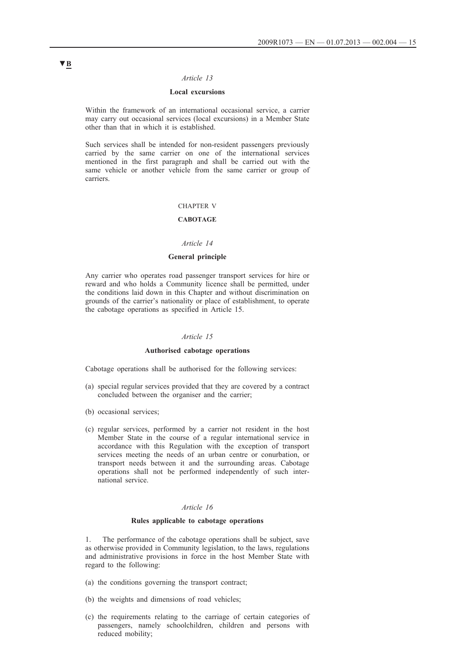### *Article 13*

## **Local excursions**

Within the framework of an international occasional service, a carrier may carry out occasional services (local excursions) in a Member State other than that in which it is established.

Such services shall be intended for non-resident passengers previously carried by the same carrier on one of the international services mentioned in the first paragraph and shall be carried out with the same vehicle or another vehicle from the same carrier or group of carriers.

### CHAPTER V

### **CABOTAGE**

## *Article 14*

## **General principle**

Any carrier who operates road passenger transport services for hire or reward and who holds a Community licence shall be permitted, under the conditions laid down in this Chapter and without discrimination on grounds of the carrier's nationality or place of establishment, to operate the cabotage operations as specified in Article 15.

#### *Article 15*

#### **Authorised cabotage operations**

Cabotage operations shall be authorised for the following services:

- (a) special regular services provided that they are covered by a contract concluded between the organiser and the carrier;
- (b) occasional services;
- (c) regular services, performed by a carrier not resident in the host Member State in the course of a regular international service in accordance with this Regulation with the exception of transport services meeting the needs of an urban centre or conurbation, or transport needs between it and the surrounding areas. Cabotage operations shall not be performed independently of such international service.

## *Article 16*

### **Rules applicable to cabotage operations**

1. The performance of the cabotage operations shall be subject, save as otherwise provided in Community legislation, to the laws, regulations and administrative provisions in force in the host Member State with regard to the following:

- (a) the conditions governing the transport contract;
- (b) the weights and dimensions of road vehicles;
- (c) the requirements relating to the carriage of certain categories of passengers, namely schoolchildren, children and persons with reduced mobility;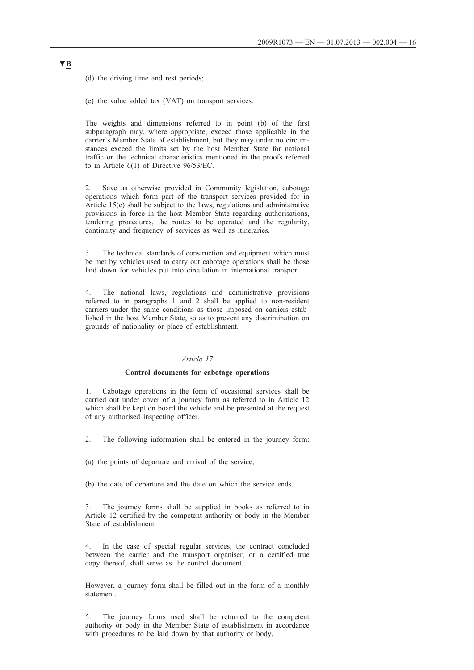(d) the driving time and rest periods;

(e) the value added tax (VAT) on transport services.

The weights and dimensions referred to in point (b) of the first subparagraph may, where appropriate, exceed those applicable in the carrier's Member State of establishment, but they may under no circumstances exceed the limits set by the host Member State for national traffic or the technical characteristics mentioned in the proofs referred to in Article 6(1) of Directive 96/53/EC.

2. Save as otherwise provided in Community legislation, cabotage operations which form part of the transport services provided for in Article 15(c) shall be subject to the laws, regulations and administrative provisions in force in the host Member State regarding authorisations, tendering procedures, the routes to be operated and the regularity, continuity and frequency of services as well as itineraries.

3. The technical standards of construction and equipment which must be met by vehicles used to carry out cabotage operations shall be those laid down for vehicles put into circulation in international transport.

4. The national laws, regulations and administrative provisions referred to in paragraphs 1 and 2 shall be applied to non-resident carriers under the same conditions as those imposed on carriers established in the host Member State, so as to prevent any discrimination on grounds of nationality or place of establishment.

#### *Article 17*

#### **Control documents for cabotage operations**

1. Cabotage operations in the form of occasional services shall be carried out under cover of a journey form as referred to in Article 12 which shall be kept on board the vehicle and be presented at the request of any authorised inspecting officer.

2. The following information shall be entered in the journey form:

(a) the points of departure and arrival of the service;

(b) the date of departure and the date on which the service ends.

3. The journey forms shall be supplied in books as referred to in Article 12 certified by the competent authority or body in the Member State of establishment.

4. In the case of special regular services, the contract concluded between the carrier and the transport organiser, or a certified true copy thereof, shall serve as the control document.

However, a journey form shall be filled out in the form of a monthly statement.

5. The journey forms used shall be returned to the competent authority or body in the Member State of establishment in accordance with procedures to be laid down by that authority or body.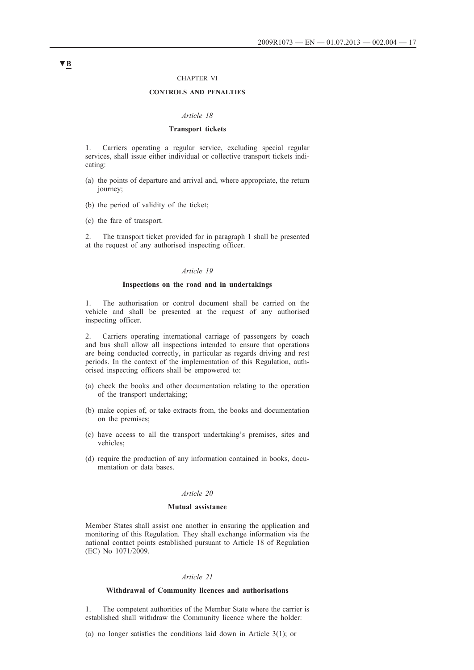#### CHAPTER VI

## **CONTROLS AND PENALTIES**

#### *Article 18*

### **Transport tickets**

1. Carriers operating a regular service, excluding special regular services, shall issue either individual or collective transport tickets indicating:

- (a) the points of departure and arrival and, where appropriate, the return journey;
- (b) the period of validity of the ticket;
- (c) the fare of transport.

2. The transport ticket provided for in paragraph 1 shall be presented at the request of any authorised inspecting officer.

## *Article 19*

## **Inspections on the road and in undertakings**

1. The authorisation or control document shall be carried on the vehicle and shall be presented at the request of any authorised inspecting officer.

2. Carriers operating international carriage of passengers by coach and bus shall allow all inspections intended to ensure that operations are being conducted correctly, in particular as regards driving and rest periods. In the context of the implementation of this Regulation, authorised inspecting officers shall be empowered to:

- (a) check the books and other documentation relating to the operation of the transport undertaking;
- (b) make copies of, or take extracts from, the books and documentation on the premises;
- (c) have access to all the transport undertaking's premises, sites and vehicles;
- (d) require the production of any information contained in books, documentation or data bases.

#### *Article 20*

#### **Mutual assistance**

Member States shall assist one another in ensuring the application and monitoring of this Regulation. They shall exchange information via the national contact points established pursuant to Article 18 of Regulation (EC) No 1071/2009.

#### *Article 21*

#### **Withdrawal of Community licences and authorisations**

1. The competent authorities of the Member State where the carrier is established shall withdraw the Community licence where the holder:

(a) no longer satisfies the conditions laid down in Article 3(1); or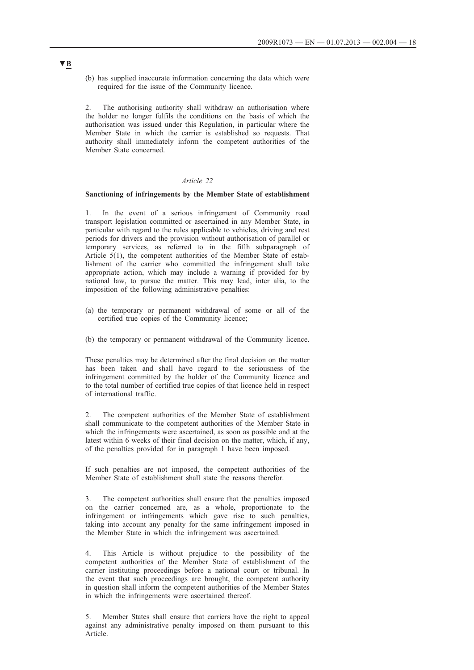(b) has supplied inaccurate information concerning the data which were required for the issue of the Community licence.

The authorising authority shall withdraw an authorisation where the holder no longer fulfils the conditions on the basis of which the authorisation was issued under this Regulation, in particular where the Member State in which the carrier is established so requests. That authority shall immediately inform the competent authorities of the Member State concerned.

### *Article 22*

## **Sanctioning of infringements by the Member State of establishment**

1. In the event of a serious infringement of Community road transport legislation committed or ascertained in any Member State, in particular with regard to the rules applicable to vehicles, driving and rest periods for drivers and the provision without authorisation of parallel or temporary services, as referred to in the fifth subparagraph of Article 5(1), the competent authorities of the Member State of establishment of the carrier who committed the infringement shall take appropriate action, which may include a warning if provided for by national law, to pursue the matter. This may lead, inter alia, to the imposition of the following administrative penalties:

- (a) the temporary or permanent withdrawal of some or all of the certified true copies of the Community licence;
- (b) the temporary or permanent withdrawal of the Community licence.

These penalties may be determined after the final decision on the matter has been taken and shall have regard to the seriousness of the infringement committed by the holder of the Community licence and to the total number of certified true copies of that licence held in respect of international traffic.

The competent authorities of the Member State of establishment shall communicate to the competent authorities of the Member State in which the infringements were ascertained, as soon as possible and at the latest within 6 weeks of their final decision on the matter, which, if any, of the penalties provided for in paragraph 1 have been imposed.

If such penalties are not imposed, the competent authorities of the Member State of establishment shall state the reasons therefor.

3. The competent authorities shall ensure that the penalties imposed on the carrier concerned are, as a whole, proportionate to the infringement or infringements which gave rise to such penalties, taking into account any penalty for the same infringement imposed in the Member State in which the infringement was ascertained.

This Article is without prejudice to the possibility of the competent authorities of the Member State of establishment of the carrier instituting proceedings before a national court or tribunal. In the event that such proceedings are brought, the competent authority in question shall inform the competent authorities of the Member States in which the infringements were ascertained thereof.

5. Member States shall ensure that carriers have the right to appeal against any administrative penalty imposed on them pursuant to this Article.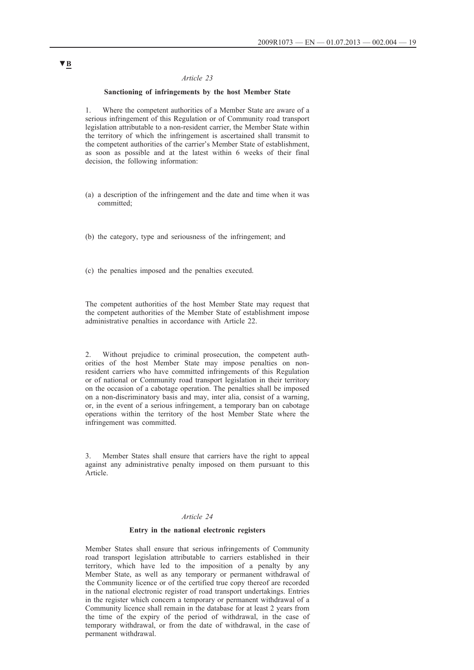### *Article 23*

## **Sanctioning of infringements by the host Member State**

1. Where the competent authorities of a Member State are aware of a serious infringement of this Regulation or of Community road transport legislation attributable to a non-resident carrier, the Member State within the territory of which the infringement is ascertained shall transmit to the competent authorities of the carrier's Member State of establishment, as soon as possible and at the latest within 6 weeks of their final decision, the following information:

- (a) a description of the infringement and the date and time when it was committed;
- (b) the category, type and seriousness of the infringement; and
- (c) the penalties imposed and the penalties executed.

The competent authorities of the host Member State may request that the competent authorities of the Member State of establishment impose administrative penalties in accordance with Article 22.

2. Without prejudice to criminal prosecution, the competent authorities of the host Member State may impose penalties on nonresident carriers who have committed infringements of this Regulation or of national or Community road transport legislation in their territory on the occasion of a cabotage operation. The penalties shall be imposed on a non-discriminatory basis and may, inter alia, consist of a warning, or, in the event of a serious infringement, a temporary ban on cabotage operations within the territory of the host Member State where the infringement was committed.

3. Member States shall ensure that carriers have the right to appeal against any administrative penalty imposed on them pursuant to this Article.

### *Article 24*

#### **Entry in the national electronic registers**

Member States shall ensure that serious infringements of Community road transport legislation attributable to carriers established in their territory, which have led to the imposition of a penalty by any Member State, as well as any temporary or permanent withdrawal of the Community licence or of the certified true copy thereof are recorded in the national electronic register of road transport undertakings. Entries in the register which concern a temporary or permanent withdrawal of a Community licence shall remain in the database for at least 2 years from the time of the expiry of the period of withdrawal, in the case of temporary withdrawal, or from the date of withdrawal, in the case of permanent withdrawal.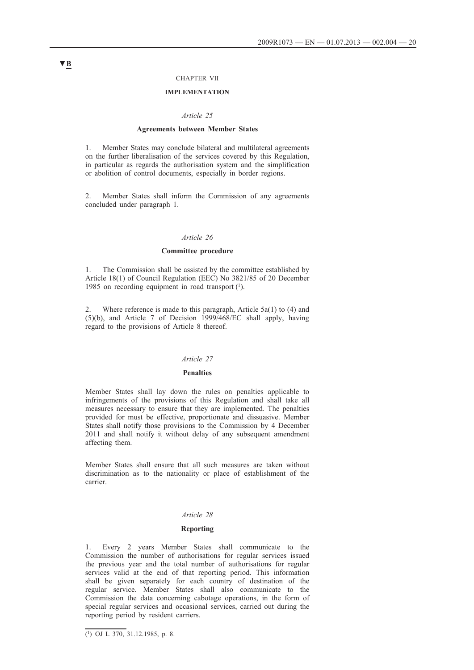### CHAPTER VII

## **IMPLEMENTATION**

#### *Article 25*

#### **Agreements between Member States**

1. Member States may conclude bilateral and multilateral agreements on the further liberalisation of the services covered by this Regulation, in particular as regards the authorisation system and the simplification or abolition of control documents, especially in border regions.

2. Member States shall inform the Commission of any agreements concluded under paragraph 1.

#### *Article 26*

### **Committee procedure**

1. The Commission shall be assisted by the committee established by Article 18(1) of Council Regulation (EEC) No 3821/85 of 20 December 1985 on recording equipment in road transport (1).

2. Where reference is made to this paragraph, Article 5a(1) to (4) and (5)(b), and Article 7 of Decision 1999/468/EC shall apply, having regard to the provisions of Article 8 thereof.

#### *Article 27*

#### **Penalties**

Member States shall lay down the rules on penalties applicable to infringements of the provisions of this Regulation and shall take all measures necessary to ensure that they are implemented. The penalties provided for must be effective, proportionate and dissuasive. Member States shall notify those provisions to the Commission by 4 December 2011 and shall notify it without delay of any subsequent amendment affecting them.

Member States shall ensure that all such measures are taken without discrimination as to the nationality or place of establishment of the carrier.

#### *Article 28*

#### **Reporting**

1. Every 2 years Member States shall communicate to the Commission the number of authorisations for regular services issued the previous year and the total number of authorisations for regular services valid at the end of that reporting period. This information shall be given separately for each country of destination of the regular service. Member States shall also communicate to the Commission the data concerning cabotage operations, in the form of special regular services and occasional services, carried out during the reporting period by resident carriers.

 $\overline{(^1)}$  OJ L 370, 31.12.1985, p. 8.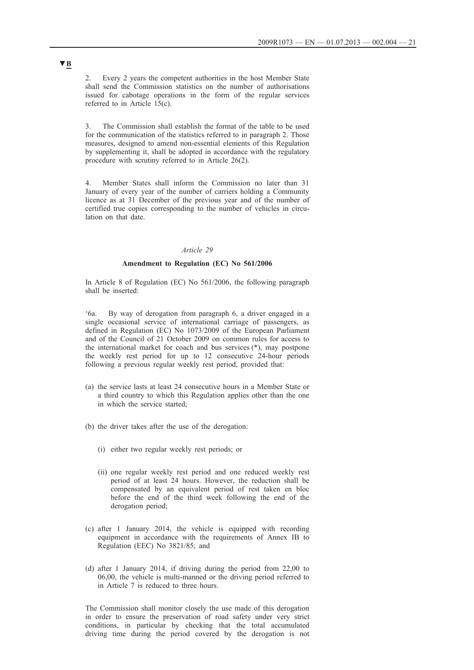2. Every 2 years the competent authorities in the host Member State shall send the Commission statistics on the number of authorisations issued for cabotage operations in the form of the regular services referred to in Article 15(c).

3. The Commission shall establish the format of the table to be used for the communication of the statistics referred to in paragraph 2. Those measures, designed to amend non-essential elements of this Regulation by supplementing it, shall be adopted in accordance with the regulatory procedure with scrutiny referred to in Article 26(2).

4. Member States shall inform the Commission no later than 31 January of every year of the number of carriers holding a Community licence as at 31 December of the previous year and of the number of certified true copies corresponding to the number of vehicles in circulation on that date.

#### *Article 29*

## **Amendment to Regulation (EC) No 561/2006**

In Article 8 of Regulation (EC) No 561/2006, the following paragraph shall be inserted:

'6a. By way of derogation from paragraph 6, a driver engaged in a single occasional service of international carriage of passengers, as defined in Regulation (EC) No 1073/2009 of the European Parliament and of the Council of 21 October 2009 on common rules for access to the international market for coach and bus services (\*), may postpone the weekly rest period for up to 12 consecutive 24-hour periods following a previous regular weekly rest period, provided that:

- (a) the service lasts at least 24 consecutive hours in a Member State or a third country to which this Regulation applies other than the one in which the service started;
- (b) the driver takes after the use of the derogation:
	- (i) either two regular weekly rest periods; or
	- (ii) one regular weekly rest period and one reduced weekly rest period of at least 24 hours. However, the reduction shall be compensated by an equivalent period of rest taken en bloc before the end of the third week following the end of the derogation period;
- (c) after 1 January 2014, the vehicle is equipped with recording equipment in accordance with the requirements of Annex IB to Regulation (EEC) No 3821/85; and
- (d) after 1 January 2014, if driving during the period from 22,00 to 06,00, the vehicle is multi-manned or the driving period referred to in Article 7 is reduced to three hours.

The Commission shall monitor closely the use made of this derogation in order to ensure the preservation of road safety under very strict conditions, in particular by checking that the total accumulated driving time during the period covered by the derogation is not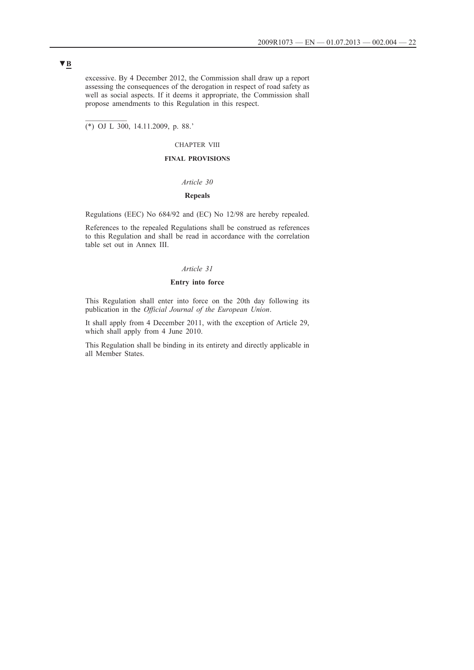excessive. By 4 December 2012, the Commission shall draw up a report assessing the consequences of the derogation in respect of road safety as well as social aspects. If it deems it appropriate, the Commission shall propose amendments to this Regulation in this respect.

(\*) OJ L 300, 14.11.2009, p. 88.'

## CHAPTER VIII

## **FINAL PROVISIONS**

## *Article 30*

### **Repeals**

Regulations (EEC) No 684/92 and (EC) No 12/98 are hereby repealed.

References to the repealed Regulations shall be construed as references to this Regulation and shall be read in accordance with the correlation table set out in Annex III.

## *Article 31*

## **Entry into force**

This Regulation shall enter into force on the 20th day following its publication in the *Official Journal of the European Union*.

It shall apply from 4 December 2011, with the exception of Article 29, which shall apply from 4 June 2010.

This Regulation shall be binding in its entirety and directly applicable in all Member States.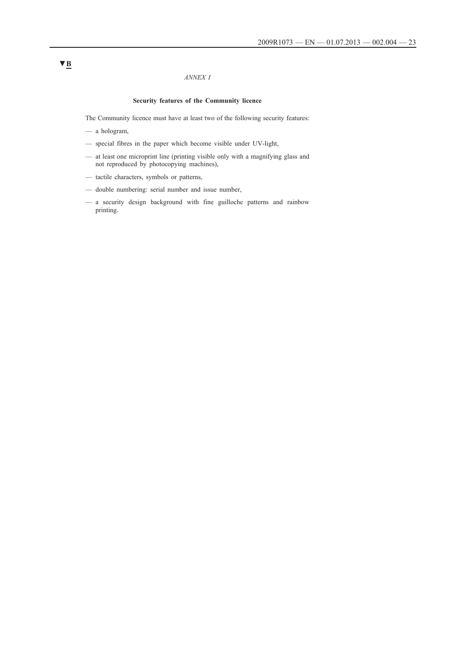## *ANNEX I*

## **Security features of the Community licence**

The Community licence must have at least two of the following security features:

- a hologram,
- special fibres in the paper which become visible under UV-light,
- at least one microprint line (printing visible only with a magnifying glass and not reproduced by photocopying machines),
- tactile characters, symbols or patterns,
- double numbering: serial number and issue number,
- a security design background with fine guilloche patterns and rainbow printing.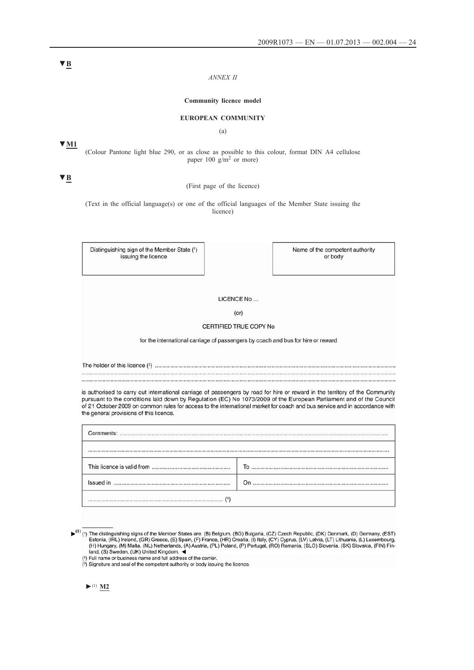#### *ANNEX II*

#### **Community licence model**

### **EUROPEAN COMMUNITY**

(a)

**▼M1**

(Colour Pantone light blue 290, or as close as possible to this colour, format DIN A4 cellulose paper  $100 \frac{\text{g}}{\text{m}^2}$  or more)

**▼B**

(First page of the licence)

(Text in the official language(s) or one of the official languages of the Member State issuing the licence)

Distinguishing sign of the Member State (1) issuing the licence

Name of the competent authority or body

LICENCE No...

 $(or)$ 

### CERTIFIED TRUE COPY No

for the international carriage of passengers by coach and bus for hire or reward

The holder of this licence  $(^{2})$  ...

is authorised to carry out international carriage of passengers by road for hire or reward in the territory of the Community pursuant to the conditions laid down by Regulation (EC) No 1073/2009 of the European Parliament and of the Council of 21 October 2009 on common rules for access to the international market for coach and bus service and in accordance with the general provisions of this licence.

|  | To |  |  |  |  |
|--|----|--|--|--|--|
|  |    |  |  |  |  |
|  |    |  |  |  |  |

(1) (1) The distinguishing signs of the Member States are: (B) Belgium, (BG) Bulgaria, (CZ) Czech Republic, (DK) Denmark, (D) Germany, (EST)<br>Estonia, (IRL) Ireland, (GR) Greece, (E) Spain, (F) France, (HR) Croatia, (I) It

(2) Full name or business name and full address of the carrier.<br>(3) Signature and seal of the competent authority or body issuing the licence.

**►**(1) **M2**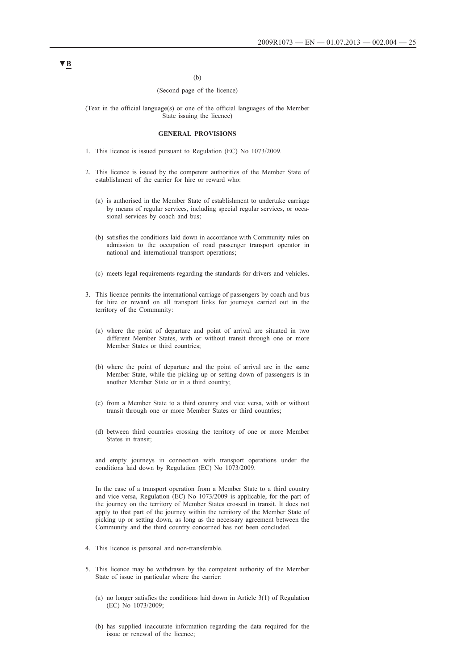(b)

#### (Second page of the licence)

(Text in the official language(s) or one of the official languages of the Member State issuing the licence)

#### **GENERAL PROVISIONS**

- 1. This licence is issued pursuant to Regulation (EC) No 1073/2009.
- 2. This licence is issued by the competent authorities of the Member State of establishment of the carrier for hire or reward who:
	- (a) is authorised in the Member State of establishment to undertake carriage by means of regular services, including special regular services, or occasional services by coach and bus;
	- (b) satisfies the conditions laid down in accordance with Community rules on admission to the occupation of road passenger transport operator in national and international transport operations;
	- (c) meets legal requirements regarding the standards for drivers and vehicles.
- 3. This licence permits the international carriage of passengers by coach and bus for hire or reward on all transport links for journeys carried out in the territory of the Community:
	- (a) where the point of departure and point of arrival are situated in two different Member States, with or without transit through one or more Member States or third countries;
	- (b) where the point of departure and the point of arrival are in the same Member State, while the picking up or setting down of passengers is in another Member State or in a third country;
	- (c) from a Member State to a third country and vice versa, with or without transit through one or more Member States or third countries;
	- (d) between third countries crossing the territory of one or more Member States in transit;

and empty journeys in connection with transport operations under the conditions laid down by Regulation (EC) No 1073/2009.

In the case of a transport operation from a Member State to a third country and vice versa, Regulation (EC) No 1073/2009 is applicable, for the part of the journey on the territory of Member States crossed in transit. It does not apply to that part of the journey within the territory of the Member State of picking up or setting down, as long as the necessary agreement between the Community and the third country concerned has not been concluded.

- 4. This licence is personal and non-transferable.
- 5. This licence may be withdrawn by the competent authority of the Member State of issue in particular where the carrier:
	- (a) no longer satisfies the conditions laid down in Article 3(1) of Regulation (EC) No 1073/2009;
	- (b) has supplied inaccurate information regarding the data required for the issue or renewal of the licence;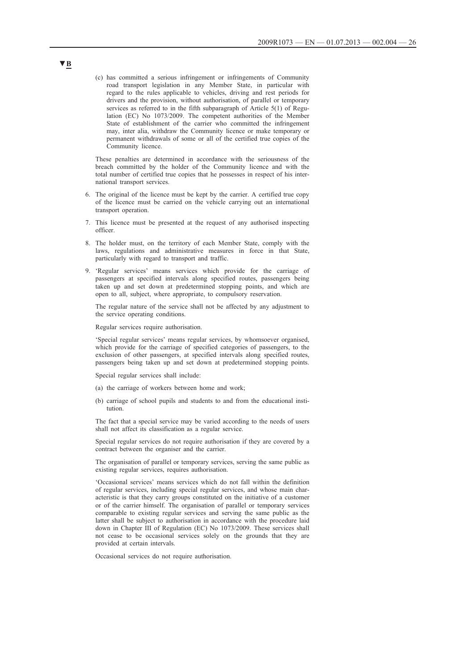(c) has committed a serious infringement or infringements of Community road transport legislation in any Member State, in particular with regard to the rules applicable to vehicles, driving and rest periods for drivers and the provision, without authorisation, of parallel or temporary services as referred to in the fifth subparagraph of Article 5(1) of Regulation (EC) No 1073/2009. The competent authorities of the Member State of establishment of the carrier who committed the infringement may, inter alia, withdraw the Community licence or make temporary or permanent withdrawals of some or all of the certified true copies of the Community licence.

These penalties are determined in accordance with the seriousness of the breach committed by the holder of the Community licence and with the total number of certified true copies that he possesses in respect of his international transport services.

- 6. The original of the licence must be kept by the carrier. A certified true copy of the licence must be carried on the vehicle carrying out an international transport operation.
- 7. This licence must be presented at the request of any authorised inspecting officer.
- 8. The holder must, on the territory of each Member State, comply with the laws, regulations and administrative measures in force in that State, particularly with regard to transport and traffic.
- 9. 'Regular services' means services which provide for the carriage of passengers at specified intervals along specified routes, passengers being taken up and set down at predetermined stopping points, and which are open to all, subject, where appropriate, to compulsory reservation.

The regular nature of the service shall not be affected by any adjustment to the service operating conditions.

Regular services require authorisation.

'Special regular services' means regular services, by whomsoever organised, which provide for the carriage of specified categories of passengers, to the exclusion of other passengers, at specified intervals along specified routes, passengers being taken up and set down at predetermined stopping points.

Special regular services shall include:

- (a) the carriage of workers between home and work;
- (b) carriage of school pupils and students to and from the educational institution.

The fact that a special service may be varied according to the needs of users shall not affect its classification as a regular service.

Special regular services do not require authorisation if they are covered by a contract between the organiser and the carrier.

The organisation of parallel or temporary services, serving the same public as existing regular services, requires authorisation.

'Occasional services' means services which do not fall within the definition of regular services, including special regular services, and whose main characteristic is that they carry groups constituted on the initiative of a customer or of the carrier himself. The organisation of parallel or temporary services comparable to existing regular services and serving the same public as the latter shall be subject to authorisation in accordance with the procedure laid down in Chapter III of Regulation (EC) No 1073/2009. These services shall not cease to be occasional services solely on the grounds that they are provided at certain intervals.

Occasional services do not require authorisation.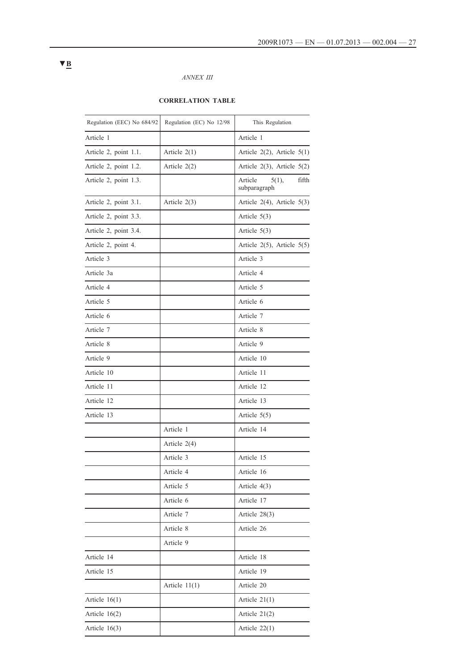## *ANNEX III*

# **CORRELATION TABLE**

| Regulation (EEC) No 684/92 | Regulation (EC) No 12/98 | This Regulation                           |
|----------------------------|--------------------------|-------------------------------------------|
| Article 1                  |                          | Article 1                                 |
| Article 2, point 1.1.      | Article $2(1)$           | Article $2(2)$ , Article $5(1)$           |
| Article 2, point 1.2.      | Article $2(2)$           | Article $2(3)$ , Article $5(2)$           |
| Article 2, point 1.3.      |                          | fifth<br>Article<br>5(1),<br>subparagraph |
| Article 2, point 3.1.      | Article $2(3)$           | Article $2(4)$ , Article $5(3)$           |
| Article 2, point 3.3.      |                          | Article $5(3)$                            |
| Article 2, point 3.4.      |                          | Article $5(3)$                            |
| Article 2, point 4.        |                          | Article $2(5)$ , Article $5(5)$           |
| Article 3                  |                          | Article 3                                 |
| Article 3a                 |                          | Article 4                                 |
| Article 4                  |                          | Article 5                                 |
| Article 5                  |                          | Article 6                                 |
| Article 6                  |                          | Article 7                                 |
| Article 7                  |                          | Article 8                                 |
| Article 8                  |                          | Article 9                                 |
| Article 9                  |                          | Article 10                                |
| Article 10                 |                          | Article 11                                |
| Article 11                 |                          | Article 12                                |
| Article 12                 |                          | Article 13                                |
| Article 13                 |                          | Article 5(5)                              |
|                            | Article 1                | Article 14                                |
|                            | Article $2(4)$           |                                           |
|                            | Article 3                | Article 15                                |
|                            | Article 4                | Article 16                                |
|                            | Article 5                | Article $4(3)$                            |
|                            | Article 6                | Article 17                                |
|                            | Article 7                | Article $28(3)$                           |
|                            | Article 8                | Article 26                                |
|                            | Article 9                |                                           |
| Article 14                 |                          | Article 18                                |
| Article 15                 |                          | Article 19                                |
|                            | Article $11(1)$          | Article 20                                |
| Article $16(1)$            |                          | Article $21(1)$                           |
| Article $16(2)$            |                          | Article $21(2)$                           |
| Article $16(3)$            |                          | Article $22(1)$                           |